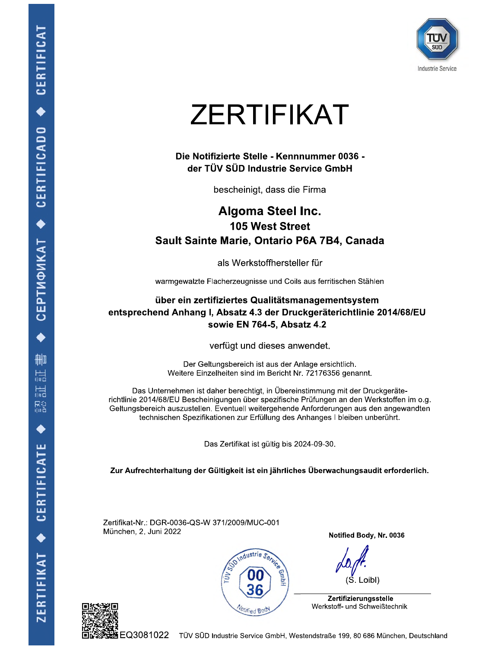

# **ZERTIFIKAT**

Die Notifizierte Stelle - Kennnummer 0036 der TÜV SÜD Industrie Service GmbH

bescheinigt, dass die Firma

### **Algoma Steel Inc.** 105 West Street Sault Sainte Marie, Ontario P6A 7B4, Canada

als Werkstoffhersteller für

warmgewalzte Flacherzeugnisse und Coils aus ferritischen Stählen

#### über ein zertifiziertes Qualitätsmanagementsystem entsprechend Anhang I, Absatz 4.3 der Druckgeräterichtlinie 2014/68/EU sowie EN 764-5, Absatz 4.2

verfügt und dieses anwendet.

Der Geltungsbereich ist aus der Anlage ersichtlich. Weitere Einzelheiten sind im Bericht Nr. 72176356 genannt.

Das Unternehmen ist daher berechtigt, in Übereinstimmung mit der Druckgeräterichtlinie 2014/68/EU Bescheinigungen über spezifische Prüfungen an den Werkstoffen im o.g. Geltungsbereich auszustellen. Eventuell weitergehende Anforderungen aus den angewandten technischen Spezifikationen zur Erfüllung des Anhanges I bleiben unberührt.

Das Zertifikat ist gültig bis 2024-09-30.

Zur Aufrechterhaltung der Gültigkeit ist ein jährliches Überwachungsaudit erforderlich.

Zertifikat-Nr.: DGR-0036-QS-W 371/2009/MUC-001 München, 2. Juni 2022



Notified Body, Nr. 0036

(Ś. Loibl)

Zertifizierungsstelle Werkstoff- und Schweißtechnik



 $\textnormal{\textbf{FQ3081022}}$  TÜV SÜD Industrie Service GmbH, Westendstraße 199, 80 686 München, Deutschland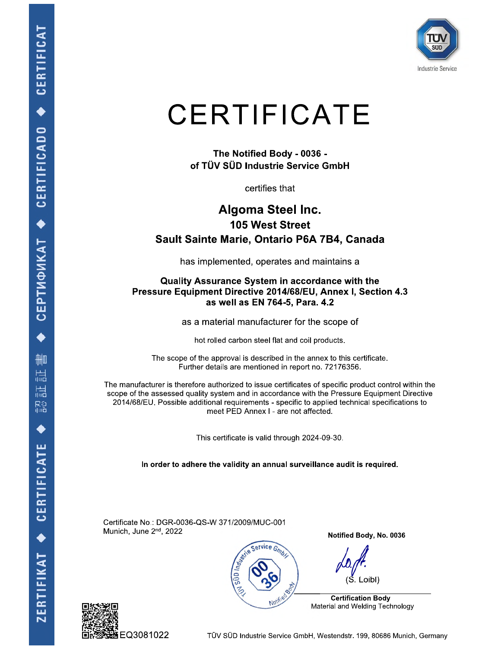

# **CERTIFICATE**

The Notified Body - 0036 of TÜV SÜD Industrie Service GmbH

certifies that

### **Algoma Steel Inc. 105 West Street** Sault Sainte Marie, Ontario P6A 7B4, Canada

has implemented, operates and maintains a

#### **Quality Assurance System in accordance with the** Pressure Equipment Directive 2014/68/EU, Annex I, Section 4.3 as well as EN 764-5, Para, 4.2

as a material manufacturer for the scope of

hot rolled carbon steel flat and coil products.

The scope of the approval is described in the annex to this certificate. Further details are mentioned in report no. 72176356.

The manufacturer is therefore authorized to issue certificates of specific product control within the scope of the assessed quality system and in accordance with the Pressure Equipment Directive 2014/68/EU. Possible additional requirements - specific to applied technical specifications to meet PED Annex I - are not affected.

This certificate is valid through 2024-09-30.

In order to adhere the validity an annual surveillance audit is required.

Certificate No: DGR-0036-QS-W 371/2009/MUC-001 Munich, June 2<sup>nd</sup>, 2022

EQ3081022



Notified Body, No. 0036

(Š. Loibí)

**Certification Body** Material and Welding Technology



TÜV SÜD Industrie Service GmbH, Westendstr. 199, 80686 Munich, Germany